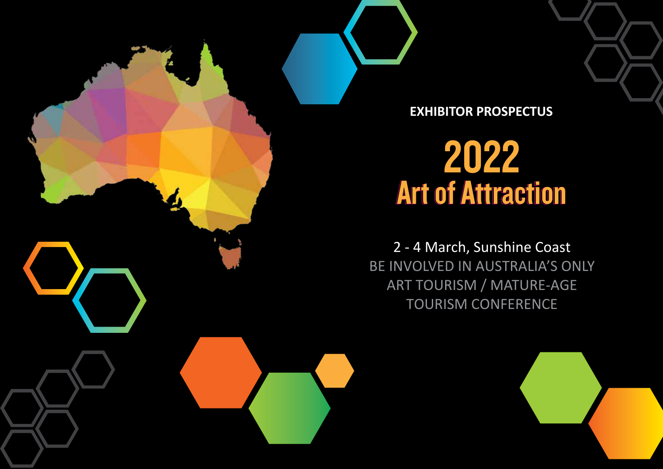

**EXHIBITOR PROSPECTUS**

# 2022 Art of Attraction

2 - 4 March, Sunshine Coast BE INVOLVED IN AUSTRALIA'S ONLY ART TOURISM / MATURE-AGE TOURISM CONFERENCE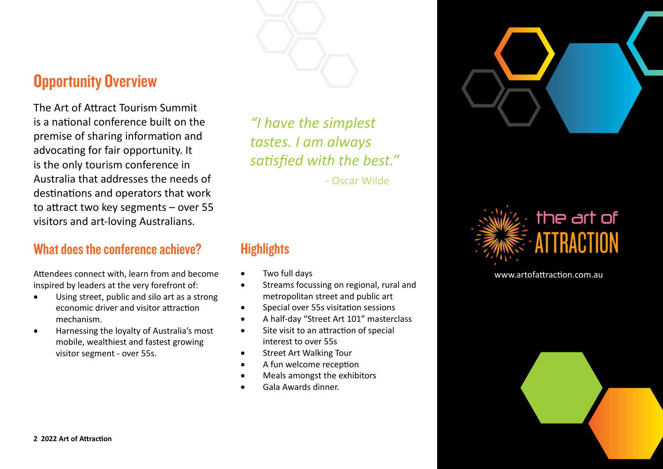

### **Opportunity Overview**

The Art of Attract Tourism Summit is a national conference built on the premise of sharing information and advocating for fair opportunity. It is the only tourism conference in Australia that addresses the needs of destinations and operators that work to attract two key segments – over 55 visitors and art-loving Australians.

### What does the conference achieve?

Attendees connect with, learn from and become inspired by leaders at the very forefront of:

- Using street, public and silo art as a strong economic driver and visitor attraction mechanism.
- Harnessing the loyalty of Australia's most mobile, wealthiest and fastest growing visitor segment - over 55s.

*"I have the simplest tastes. I am always satisfied with the best."*

- Oscar Wilde

### **Highlights**

- Two full days
- Streams focussing on regional, rural and metropolitan street and public art
- Special over 55s visitation sessions
- A half-day "Street Art 101" masterclass
- Site visit to an attraction of special interest to over 55s
- Street Art Walking Tour
- A fun welcome reception
- Meals amongst the exhibitors
- Gala Awards dinner.





www.artofattraction.com.au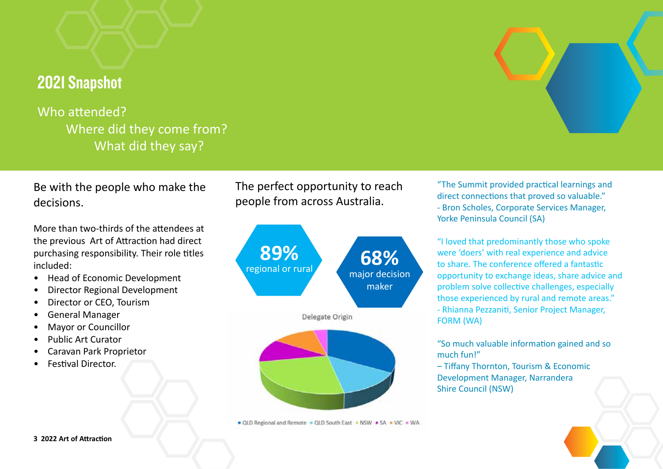### 2021 Snapshot

Who attended? Where did they come from? What did they say?

Be with the people who make the decisions.

More than two-thirds of the attendees at the previous Art of Attraction had direct purchasing responsibility. Their role titles included:

- Head of Economic Development
- Director Regional Development
- Director or CEO, Tourism
- General Manager
- Mayor or Councillor
- Public Art Curator
- Caravan Park Proprietor
- Festival Director.

The perfect opportunity to reach people from across Australia.



OLD Regional and Remote = QLD South East = NSW = SA = VIC = WA

"The Summit provided practical learnings and direct connections that proved so valuable." - Bron Scholes, Corporate Services Manager, Yorke Peninsula Council (SA)

"I loved that predominantly those who spoke were 'doers' with real experience and advice to share. The conference offered a fantastic opportunity to exchange ideas, share advice and problem solve collective challenges, especially those experienced by rural and remote areas." - Rhianna Pezzaniti, Senior Project Manager, FORM (WA)

"So much valuable information gained and so much fun!"

– Tiffany Thornton, Tourism & Economic Development Manager, Narrandera Shire Council (NSW)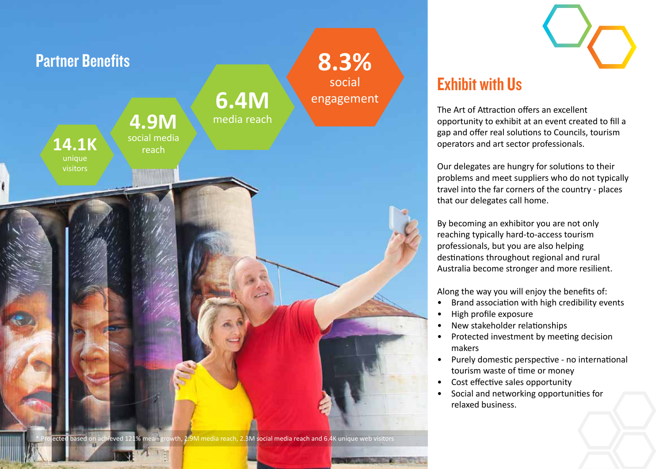

### Exhibit with Us

The Art of Attraction offers an excellent opportunity to exhibit at an event created to fill a gap and offer real solutions to Councils, tourism operators and art sector professionals.

Our delegates are hungry for solutions to their problems and meet suppliers who do not typically travel into the far corners of the country - places that our delegates call home.

By becoming an exhibitor you are not only reaching typically hard-to-access tourism professionals, but you are also helping destinations throughout regional and rural Australia become stronger and more resilient.

Along the way you will enjoy the benefits of:

- Brand association with high credibility events
- High profile exposure
- New stakeholder relationships
- Protected investment by meeting decision makers
- Purely domestic perspective no international tourism waste of time or money
- Cost effective sales opportunity
- Social and networking opportunities for relaxed business.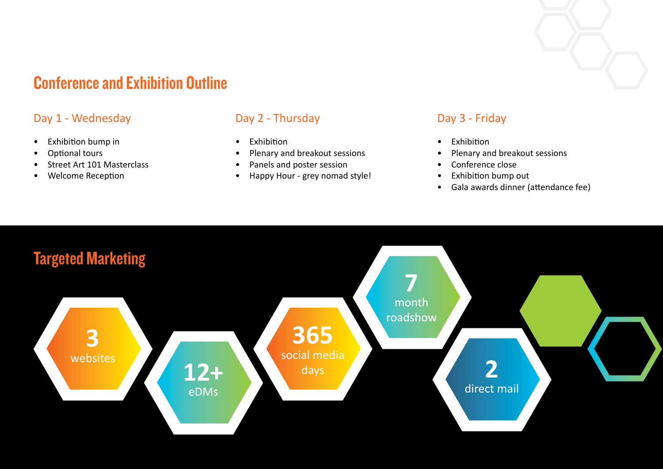### Conference and Exhibition Outline

### Day 1 - Wednesday

- Exhibition bump in
- Optional tours
- Street Art 101 Masterclass
- Welcome Reception

#### Day 2 - Thursday

- Exhibition
- Plenary and breakout sessions
- Panels and poster session
- Happy Hour grey nomad style!

#### Day 3 - Friday

- Exhibition
- Plenary and breakout sessions
- Conference close
- Exhibition bump out
- Gala awards dinner (attendance fee)

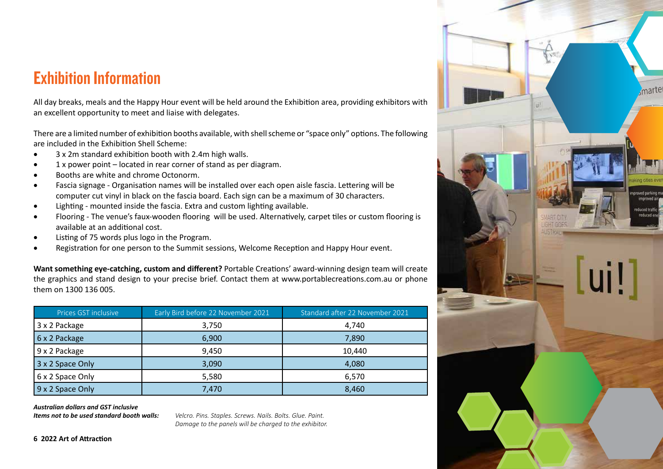### Exhibition Information

All day breaks, meals and the Happy Hour event will be held around the Exhibition area, providing exhibitors with an excellent opportunity to meet and liaise with delegates.

There are a limited number of exhibition booths available, with shell scheme or "space only" options. The following are included in the Exhibition Shell Scheme:

- 3 x 2m standard exhibition booth with 2.4m high walls.
- 1 x power point located in rear corner of stand as per diagram.
- Booths are white and chrome Octonorm.
- Fascia signage Organisation names will be installed over each open aisle fascia. Lettering will be computer cut vinyl in black on the fascia board. Each sign can be a maximum of 30 characters.
- Lighting mounted inside the fascia. Extra and custom lighting available.
- Flooring The venue's faux-wooden flooring will be used. Alternatively, carpet tiles or custom flooring is available at an additional cost.
- Listing of 75 words plus logo in the Program.
- Registration for one person to the Summit sessions, Welcome Reception and Happy Hour event.

**Want something eye-catching, custom and different?** Portable Creations' award-winning design team will create the graphics and stand design to your precise brief. Contact them at www.portablecreations.com.au or phone them on 1300 136 005.

| Prices GST inclusive | Early Bird before 22 November 2021 | Standard after 22 November 2021 |
|----------------------|------------------------------------|---------------------------------|
| 3 x 2 Package        | 3,750                              | 4,740                           |
| 6 x 2 Package        | 6,900                              | 7,890                           |
| 9 x 2 Package        | 9.450                              | 10.440                          |
| 3 x 2 Space Only     | 3,090                              | 4,080                           |
| 6 x 2 Space Only     | 5,580                              | 6.570                           |
| 9 x 2 Space Only     | 7,470                              | 8,460                           |

*Australian dollars and GST inclusive*

*Items not to be used standard booth walls: Velcro. Pins. Staples. Screws. Nails. Bolts. Glue. Paint. Damage to the panels will be charged to the exhibitor.*

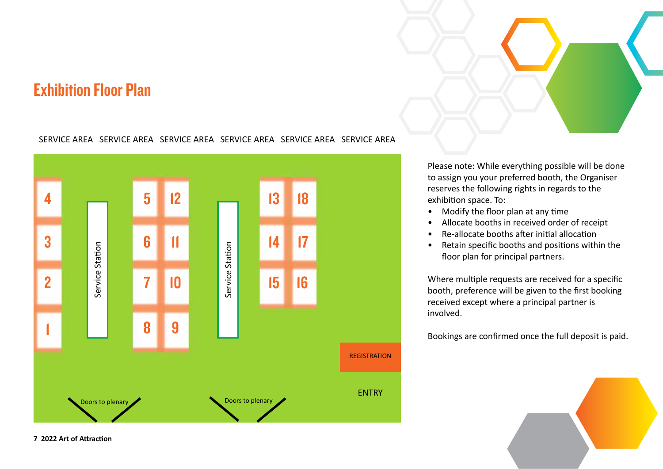### Exhibition Floor Plan

#### SERVICE AREA SERVICE AREA SERVICE AREA SERVICE AREA SERVICE AREA SERVICE AREA



Please note: While everything possible will be done to assign you your preferred booth, the Organiser reserves the following rights in regards to the exhibition space. To:

- Modify the floor plan at any time
- Allocate booths in received order of receipt
- Re-allocate booths after initial allocation
- Retain specific booths and positions within the floor plan for principal partners.

Where multiple requests are received for a specific booth, preference will be given to the first booking received except where a principal partner is involved.

Bookings are confirmed once the full deposit is paid.

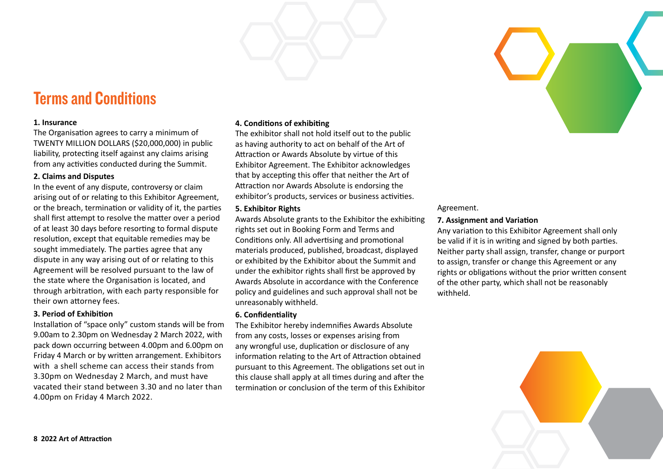

#### **1. Insurance**

The Organisation agrees to carry a minimum of TWENTY MILLION DOLLARS (\$20,000,000) in public liability, protecting itself against any claims arising from any activities conducted during the Summit.

#### **2. Claims and Disputes**

In the event of any dispute, controversy or claim arising out of or relating to this Exhibitor Agreement, or the breach, termination or validity of it, the parties shall first attempt to resolve the matter over a period of at least 30 days before resorting to formal dispute resolution, except that equitable remedies may be sought immediately. The parties agree that any dispute in any way arising out of or relating to this Agreement will be resolved pursuant to the law of the state where the Organisation is located, and through arbitration, with each party responsible for their own attorney fees.

#### **3. Period of Exhibition**

Installation of "space only" custom stands will be from 9.00am to 2.30pm on Wednesday 2 March 2022, with pack down occurring between 4.00pm and 6.00pm on Friday 4 March or by written arrangement. Exhibitors with a shell scheme can access their stands from 3.30pm on Wednesday 2 March, and must have vacated their stand between 3.30 and no later than 4.00pm on Friday 4 March 2022.

#### **4. Conditions of exhibiting**

The exhibitor shall not hold itself out to the public as having authority to act on behalf of the Art of Attraction or Awards Absolute by virtue of this Exhibitor Agreement. The Exhibitor acknowledges that by accepting this offer that neither the Art of Attraction nor Awards Absolute is endorsing the exhibitor's products, services or business activities.

#### **5. Exhibitor Rights**

Awards Absolute grants to the Exhibitor the exhibiting rights set out in Booking Form and Terms and Conditions only. All advertising and promotional materials produced, published, broadcast, displayed or exhibited by the Exhibitor about the Summit and under the exhibitor rights shall first be approved by Awards Absolute in accordance with the Conference policy and guidelines and such approval shall not be unreasonably withheld.

#### **6. Confidentiality**

The Exhibitor hereby indemnifies Awards Absolute from any costs, losses or expenses arising from any wrongful use, duplication or disclosure of any information relating to the Art of Attraction obtained pursuant to this Agreement. The obligations set out in this clause shall apply at all times during and after the termination or conclusion of the term of this Exhibitor

#### Agreement.

#### **7. Assignment and Variation**

Any variation to this Exhibitor Agreement shall only be valid if it is in writing and signed by both parties. Neither party shall assign, transfer, change or purport to assign, transfer or change this Agreement or any rights or obligations without the prior written consent of the other party, which shall not be reasonably withheld.

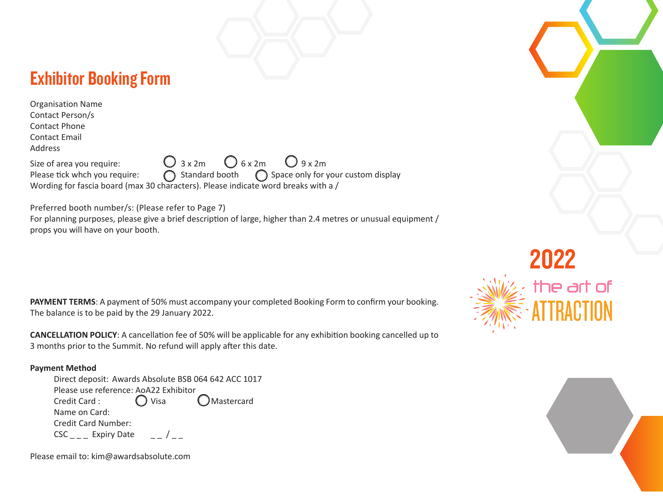### Exhibitor Booking Form

| <b>Organisation Name</b>      |                                                                                    |
|-------------------------------|------------------------------------------------------------------------------------|
| Contact Person/s              |                                                                                    |
| <b>Contact Phone</b>          |                                                                                    |
| <b>Contact Email</b>          |                                                                                    |
| Address                       |                                                                                    |
| Size of area you require:     | $\bigcirc$ 3 x 2m $\bigcirc$ 6 x 2m $\bigcirc$ 9 x 2m                              |
| Please tick whch you require: | ◯ Standard booth ◯ Space only for your custom display                              |
|                               | Wording for fascia board (max 30 characters). Please indicate word breaks with a / |

Preferred booth number/s: (Please refer to Page 7)

For planning purposes, please give a brief description of large, higher than 2.4 metres or unusual equipment / props you will have on your booth.

**PAYMENT TERMS**: A payment of 50% must accompany your completed Booking Form to confirm your booking. The balance is to be paid by the 29 January 2022.

**CANCELLATION POLICY**: A cancellation fee of 50% will be applicable for any exhibition booking cancelled up to 3 months prior to the Summit. No refund will apply after this date.

#### **Payment Method**

| Direct deposit: Awards Absolute BSB 064 642 ACC 1017 |  |  |
|------------------------------------------------------|--|--|
| Please use reference: AoA22 Exhibitor                |  |  |
| OMastercard<br>$\bigcirc$ Visa<br>Credit Card:       |  |  |
| Name on Card:                                        |  |  |
| <b>Credit Card Number:</b>                           |  |  |
| $CSC_{---}$ Expiry Date                              |  |  |

 $2022$ <br>the art of

Please email to: kim@awardsabsolute.com